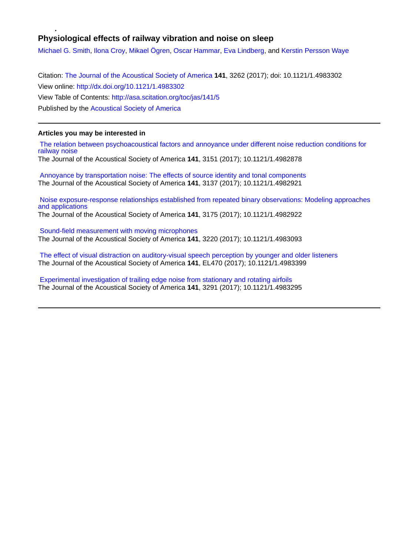# **Physiological effects of railway vibration and noise on sleep**

[Michael G. Smith](http://asa.scitation.org/author/Smith%2C+Michael+G), [Ilona Croy,](http://asa.scitation.org/author/Croy%2C+Ilona) [Mikael Ögren,](http://asa.scitation.org/author/%C3%96gren%2C+Mikael) [Oscar Hammar,](http://asa.scitation.org/author/Hammar%2C+Oscar) [Eva Lindberg](http://asa.scitation.org/author/Lindberg%2C+Eva), and [Kerstin Persson Waye](http://asa.scitation.org/author/Persson+Waye%2C+Kerstin)

Citation: [The Journal of the Acoustical Society of America](/loi/jas) **141**, 3262 (2017); doi: 10.1121/1.4983302 View online: <http://dx.doi.org/10.1121/1.4983302> View Table of Contents: <http://asa.scitation.org/toc/jas/141/5> Published by the [Acoustical Society of America](http://asa.scitation.org/publisher/)

# **Articles you may be interested in**

 [The relation between psychoacoustical factors and annoyance under different noise reduction conditions for](http://asa.scitation.org/doi/abs/10.1121/1.4982878) [railway noise](http://asa.scitation.org/doi/abs/10.1121/1.4982878)

The Journal of the Acoustical Society of America **141**, 3151 (2017); 10.1121/1.4982878

 [Annoyance by transportation noise: The effects of source identity and tonal components](http://asa.scitation.org/doi/abs/10.1121/1.4982921) The Journal of the Acoustical Society of America **141**, 3137 (2017); 10.1121/1.4982921

 [Noise exposure-response relationships established from repeated binary observations: Modeling approaches](http://asa.scitation.org/doi/abs/10.1121/1.4982922) [and applications](http://asa.scitation.org/doi/abs/10.1121/1.4982922)

The Journal of the Acoustical Society of America **141**, 3175 (2017); 10.1121/1.4982922

 [Sound-field measurement with moving microphones](http://asa.scitation.org/doi/abs/10.1121/1.4983093) The Journal of the Acoustical Society of America **141**, 3220 (2017); 10.1121/1.4983093

 [The effect of visual distraction on auditory-visual speech perception by younger and older listeners](http://asa.scitation.org/doi/abs/10.1121/1.4983399) The Journal of the Acoustical Society of America **141**, EL470 (2017); 10.1121/1.4983399

 [Experimental investigation of trailing edge noise from stationary and rotating airfoils](http://asa.scitation.org/doi/abs/10.1121/1.4983295) The Journal of the Acoustical Society of America **141**, 3291 (2017); 10.1121/1.4983295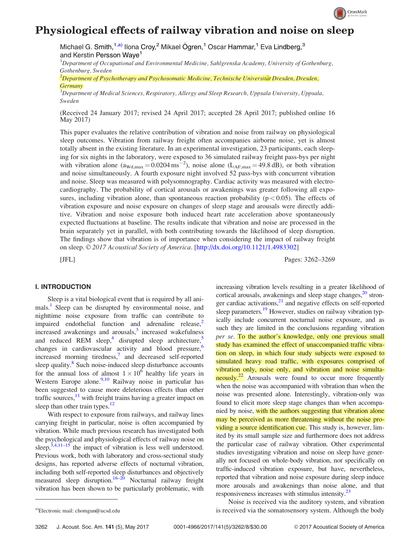

# Physiological effects of railway vibration and noise on sleep

Michael G. Smith,<sup>1,a)</sup> Ilona Croy,<sup>2</sup> Mikael Ögren,<sup>1</sup> Oscar Hammar,<sup>1</sup> Eva Lindberg,<sup>3</sup> and Kerstin Persson Waye<sup>1</sup>

<sup>1</sup>Department of Occupational and Environmental Medicine, Sahlgrenska Academy, University of Gothenburg, Gothenburg, Sweden

 $^2$ Department of Psychotherapy and Psychosomatic Medicine, Technische Universität Dresden, Dresden, **Germany** 

 $^3$ Department of Medical Sciences, Respiratory, Allergy and Sleep Research, Uppsala University, Uppsala, Sweden

(Received 24 January 2017; revised 24 April 2017; accepted 28 April 2017; published online 16 May 2017)

This paper evaluates the relative contribution of vibration and noise from railway on physiological sleep outcomes. Vibration from railway freight often accompanies airborne noise, yet is almost totally absent in the existing literature. In an experimental investigation, 23 participants, each sleeping for six nights in the laboratory, were exposed to 36 simulated railway freight pass-bys per night with vibration alone  $(a_{\text{Wd,max}} = 0.0204 \text{ ms}^{-2})$ , noise alone  $(L_{\text{AF,max}} = 49.8 \text{ dB})$ , or both vibration and noise simultaneously. A fourth exposure night involved 52 pass-bys with concurrent vibration and noise. Sleep was measured with polysomnography. Cardiac activity was measured with electrocardiography. The probability of cortical arousals or awakenings was greater following all exposures, including vibration alone, than spontaneous reaction probability ( $p < 0.05$ ). The effects of vibration exposure and noise exposure on changes of sleep stage and arousals were directly additive. Vibration and noise exposure both induced heart rate acceleration above spontaneously expected fluctuations at baseline. The results indicate that vibration and noise are processed in the brain separately yet in parallel, with both contributing towards the likelihood of sleep disruption. The findings show that vibration is of importance when considering the impact of railway freight on sleep.  $\odot$  2017 Acoustical Society of America. [[http://dx.doi.org/10.1121/1.4983302\]](http://dx.doi.org/10.1121/1.4983302)

[JFL] Pages: 3262–3269

# I. INTRODUCTION

Sleep is a vital biological event that is required by all animals.<sup>1</sup> Sleep can be disrupted by environmental noise, and nighttime noise exposure from traffic can contribute to impaired endothelial function and adrenaline release, $<sup>2</sup>$ </sup> increased awakenings and arousals, $3$  increased wakefulness and reduced REM sleep,<sup>4</sup> disrupted sleep architecture,<sup>5</sup> changes in cardiovascular activity and blood pressure,  $6\overline{6}$ increased morning tiredness, $\frac{7}{1}$  $\frac{7}{1}$  $\frac{7}{1}$  and decreased self-reported sleep quality.<sup>8</sup> Such noise-induced sleep disturbance accounts for the annual loss of almost  $1 \times 10^6$  healthy life years in Western Europe alone. $\frac{9,10}{2}$  $\frac{9,10}{2}$  $\frac{9,10}{2}$  Railway noise in particular has been suggested to cause more deleterious effects than other traffic sources, $11$  with freight trains having a greater impact on sleep than other train types. $12$ 

With respect to exposure from railways, and railway lines carrying freight in particular, noise is often accompanied by vibration. While much previous research has investigated both the psychological and physiological effects of railway noise on sleep,  $3,4,11-15$  $3,4,11-15$  the impact of vibration is less well understood. Previous work, both with laboratory and cross-sectional study designs, has reported adverse effects of nocturnal vibration, including both self-reported sleep disturbances and objectively measured sleep disruption.<sup>16–20</sup> Nocturnal railway freight vibration has been shown to be particularly problematic, with

increasing vibration levels resulting in a greater likelihood of cortical arousals, awakenings and sleep stage changes, $2^{\circ}$  stronger cardiac activations,<sup>21</sup> and negative effects on self-reported sleep parameters.<sup>[19](#page-8-0)</sup> However, studies on railway vibration typically include concurrent nocturnal noise exposure, and as such they are limited in the conclusions regarding vibration per se. To the author's knowledge, only one previous small study has examined the effect of unaccompanied traffic vibration on sleep, in which four study subjects were exposed to simulated heavy road traffic, with exposures comprised of vibration only, noise only, and vibration and noise simultaneously.<sup>22</sup> Arousals were found to occur more frequently when the noise was accompanied with vibration than when the noise was presented alone. Interestingly, vibration-only was found to elicit more sleep stage changes than when accompanied by noise, with the authors suggesting that vibration alone may be perceived as more threatening without the noise providing a source identification cue. This study is, however, limited by its small sample size and furthermore does not address the particular case of railway vibration. Other experimental studies investigating vibration and noise on sleep have generally not focused on whole-body vibration, nor specifically on traffic-induced vibration exposure, but have, nevertheless, reported that vibration and noise exposure during sleep induce more arousals and awakenings than noise alone, and that responsiveness increases with stimulus intensity[.23](#page-8-0)

Noise is received via the auditory system, and vibration a)Electronic mail: [chomgun@ucsd.edu](mailto:chomgun@ucsd.edu) is received via the somatosensory system. Although the body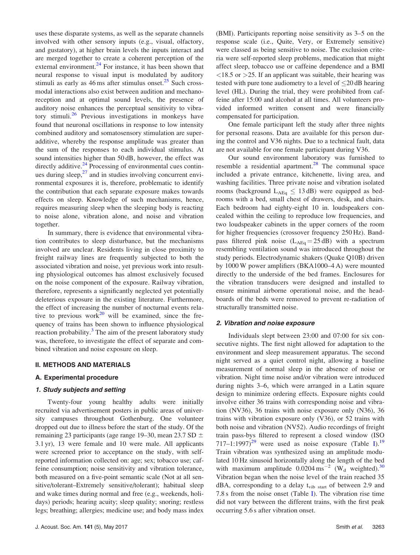uses these disparate systems, as well as the separate channels involved with other sensory inputs (e.g., visual, olfactory, and gustatory), at higher brain levels the inputs interact and are merged together to create a coherent perception of the external environment.<sup>[24](#page-8-0)</sup> For instance, it has been shown that neural response to visual input is modulated by auditory stimuli as early as  $46 \text{ ms}$  after stimulus onset.<sup>[25](#page-8-0)</sup> Such crossmodal interactions also exist between audition and mechanoreception and at optimal sound levels, the presence of auditory noise enhances the perceptual sensitivity to vibra-tory stimuli.<sup>[26](#page-8-0)</sup> Previous investigations in monkeys have found that neuronal oscillations in response to low intensity combined auditory and somatosensory stimulation are superadditive, whereby the response amplitude was greater than the sum of the responses to each individual stimulus. At sound intensities higher than 50 dB, however, the effect was directly additive.<sup>[24](#page-8-0)</sup> Processing of environmental cues continues during sleep, $^{27}$  $^{27}$  $^{27}$  and in studies involving concurrent environmental exposures it is, therefore, problematic to identify the contribution that each separate exposure makes towards effects on sleep. Knowledge of such mechanisms, hence, requires measuring sleep when the sleeping body is reacting to noise alone, vibration alone, and noise and vibration together.

In summary, there is evidence that environmental vibration contributes to sleep disturbance, but the mechanisms involved are unclear. Residents living in close proximity to freight railway lines are frequently subjected to both the associated vibration and noise, yet previous work into resulting physiological outcomes has almost exclusively focused on the noise component of the exposure. Railway vibration, therefore, represents a significantly neglected yet potentially deleterious exposure in the existing literature. Furthermore, the effect of increasing the number of nocturnal events rela-tive to previous work<sup>[20](#page-8-0)</sup> will be examined, since the frequency of trains has been shown to influence physiological reaction probability. $3$  The aim of the present laboratory study was, therefore, to investigate the effect of separate and combined vibration and noise exposure on sleep.

# II. METHODS AND MATERIALS

# A. Experimental procedure

# 1. Study subjects and setting

Twenty-four young healthy adults were initially recruited via advertisement posters in public areas of university campuses throughout Gothenburg. One volunteer dropped out due to illness before the start of the study. Of the remaining 23 participants (age range 19–30, mean 23.7 SD  $\pm$ 3.1 yr), 13 were female and 10 were male. All applicants were screened prior to acceptance on the study, with selfreported information collected on: age; sex; tobacco use; caffeine consumption; noise sensitivity and vibration tolerance, both measured on a five-point semantic scale (Not at all sensitive/tolerant–Extremely sensitive/tolerant); habitual sleep and wake times during normal and free (e.g., weekends, holidays) periods; hearing acuity; sleep quality; snoring; restless legs; breathing; allergies; medicine use; and body mass index (BMI). Participants reporting noise sensitivity as 3–5 on the response scale (i.e., Quite, Very, or Extremely sensitive) were classed as being sensitive to noise. The exclusion criteria were self-reported sleep problems, medication that might affect sleep, tobacco use or caffeine dependence and a BMI  $\langle 18.5 \text{ or } \rangle$  > 25. If an applicant was suitable, their hearing was tested with pure tone audiometry to a level of 20 dB hearing level (HL). During the trial, they were prohibited from caffeine after 15:00 and alcohol at all times. All volunteers provided informed written consent and were financially compensated for participation.

One female participant left the study after three nights for personal reasons. Data are available for this person during the control and V36 nights. Due to a technical fault, data are not available for one female participant during V36.

Our sound environment laboratory was furnished to resemble a residential apartment.<sup>28</sup> The communal space included a private entrance, kitchenette, living area, and washing facilities. Three private noise and vibration isolated rooms (background  $L_{AEq} \leq 13$  dB) were equipped as bedrooms with a bed, small chest of drawers, desk, and chairs. Each bedroom had eighty-eight 10 in. loudspeakers concealed within the ceiling to reproduce low frequencies, and two loudspeaker cabinets in the upper corners of the room for higher frequencies (crossover frequency 250 Hz). Bandpass filtered pink noise  $(L_{\text{AEq}} = 25 \text{ dB})$  with a spectrum resembling ventilation sound was introduced throughout the study periods. Electrodynamic shakers (Quake Q10B) driven by 1000 W power amplifiers (BKA1000–4 A) were mounted directly to the underside of the bed frames. Enclosures for the vibration transducers were designed and installed to ensure minimal airborne operational noise, and the headboards of the beds were removed to prevent re-radiation of structurally transmitted noise.

# 2. Vibration and noise exposure

Individuals slept between 23:00 and 07:00 for six consecutive nights. The first night allowed for adaptation to the environment and sleep measurement apparatus. The second night served as a quiet control night, allowing a baseline measurement of normal sleep in the absence of noise or vibration. Night time noise and/or vibration were introduced during nights 3–6, which were arranged in a Latin square design to minimize ordering effects. Exposure nights could involve either 36 trains with corresponding noise and vibration (NV36), 36 trains with noise exposure only (N36), 36 trains with vibration exposure only (V36), or 52 trains with both noise and vibration (NV52). Audio recordings of freight train pass-bys filtered to represent a closed window (ISO 717–1:1997)<sup>29</sup> were used as noise exposure (Table [I](#page-3-0)).<sup>[19](#page-8-0)</sup> Train vibration was synthesized using an amplitude modulated 10 Hz sinusoid horizontally along the length of the bed with maximum amplitude  $0.0204 \text{ ms}^{-2}$  (W<sub>d</sub> weighted).<sup>[30](#page-8-0)</sup> Vibration began when the noise level of the train reached 35  $dBA$ , corresponding to a delay  $t_{vib \text{ start}}$  of between 2.9 and 7.8 s from the noise onset (Table [I\)](#page-3-0). The vibration rise time did not vary between the different trains, with the first peak occurring 5.6 s after vibration onset.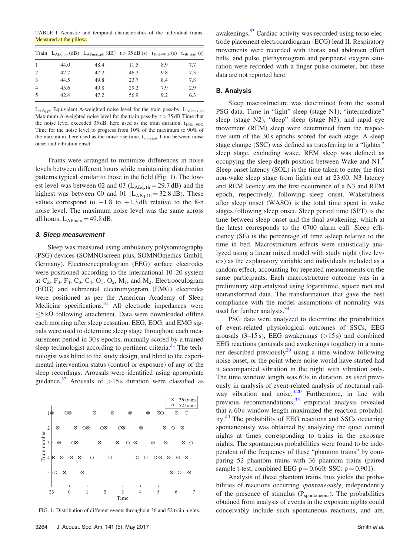<span id="page-3-0"></span>TABLE I. Acoustic and temporal characteristics of the individual trains. Measured at the pillow.

|                |      | Train $L_{AEq, pb}$ (dB) $L_{AFmax, pb}$ (dB) $t > 35$ dB (s) $t_{10\%-90\%}$ (s) $t_{vib \text{ start}}$ (s) |      |     |     |
|----------------|------|---------------------------------------------------------------------------------------------------------------|------|-----|-----|
|                | 44.0 | 48.4                                                                                                          | 11.5 | 8.9 | 7.7 |
| 2              | 42.7 | 47.2                                                                                                          | 46.2 | 9.8 | 7.3 |
| $\mathcal{R}$  | 44.5 | 49.8                                                                                                          | 23.7 | 8.4 | 7.8 |
| $\overline{4}$ | 45.6 | 49.8                                                                                                          | 29.2 | 79  | 2.9 |
| -5             | 42.4 | 47.2                                                                                                          | 56.9 | 9.2 | 6.3 |
|                |      |                                                                                                               |      |     |     |

LAEq,pb Equivalent A-weighted noise level for the train pass-by. LAFmax,pb Maximum A-weighted noise level for the train pass-by.  $t > 35$  dB Time that the noise level exceeded 35 dB, here used as the train duration.  $t_{10\% - 90\%}$ Time for the noise level to progress from 10% of the maximum to 90% of the maximum, here used as the noise rise time.  $t_{vib, start}$  Time between noise onset and vibration onset.

Trains were arranged to minimize differences in noise levels between different hours while maintaining distribution patterns typical similar to those in the field (Fig. 1). The lowest level was between 02 and 03 ( $L_{\text{AEq,1h}} = 29.7 \text{ dB}$ ) and the highest was between 00 and 01 ( $L_{\text{AEq,1h}} = 32.8 \text{ dB}$ ). These values correspond to  $-1.8$  to  $+1.3$  dB relative to the 8-h noise level. The maximum noise level was the same across all hours,  $L_{\text{AFmax}} = 49.8 \text{ dB}.$ 

# 3. Sleep measurement

Sleep was measured using ambulatory polysomnography (PSG) devices (SOMNOscreen plus, SOMNOmedics GmbH, Germany). Electroencephalogram (EEG) surface electrodes were positioned according to the international 10–20 system at  $C_7$ ,  $F_3$ ,  $F_4$ ,  $C_3$ ,  $C_4$ ,  $O_1$ ,  $O_2$ ,  $M_1$ , and  $M_2$ . Electrooculogram (EOG) and submental electromyogram (EMG) electrodes were positioned as per the American Academy of Sleep Medicine specifications.<sup>[31](#page-8-0)</sup> All electrode impedances were  $5 k\Omega$  following attachment. Data were downloaded offline each morning after sleep cessation. EEG, EOG, and EMG signals were used to determine sleep stage throughout each measurement period in 30 s epochs, manually scored by a trained sleep technologist according to pertinent criteria. $31$  The technologist was blind to the study design, and blind to the experimental intervention status (control or exposure) of any of the sleep recordings. Arousals were identified using appropriate guidance.<sup>32</sup> Arousals of  $>15$  s duration were classified as



FIG. 1. Distribution of different events throughout 36 and 52 train nights.

awakenings.<sup>[33](#page-8-0)</sup> Cardiac activity was recorded using torso electrode placement electrocardiogram (ECG) lead II. Respiratory movements were recorded with thorax and abdomen effort belts, and pulse, plethysmogram and peripheral oxygen saturation were recorded with a finger pulse oximeter, but these data are not reported here.

## B. Analysis

Sleep macrostructure was determined from the scored PSG data. Time in "light" sleep (stage N1), "intermediate" sleep (stage N2), "deep" sleep (stage N3), and rapid eye movement (REM) sleep were determined from the respective sum of the 30 s epochs scored for each stage. A sleep stage change (SSC) was defined as transferring to a "lighter" sleep stage, excluding wake. REM sleep was defined as occupying the sleep depth position between Wake and N1.6 Sleep onset latency (SOL) is the time taken to enter the first non-wake sleep stage from lights out at 23:00. N3 latency and REM latency are the first occurrence of a N3 and REM epoch, respectively, following sleep onset. Wakefulness after sleep onset (WASO) is the total time spent in wake stages following sleep onset. Sleep period time (SPT) is the time between sleep onset and the final awakening, which at the latest corresponds to the 0700 alarm call. Sleep efficiency (SE) is the percentage of time asleep relative to the time in bed. Macrostructure effects were statistically analyzed using a linear mixed model with study night (five levels) as the explanatory variable and individuals included as a random effect, accounting for repeated measurements on the same participants. Each macrostructure outcome was in a preliminary step analyzed using logarithmic, square root and untransformed data. The transformation that gave the best compliance with the model assumptions of normality was used for further analysis. $34$ 

PSG data were analyzed to determine the probabilities of event-related physiological outcomes of SSCs, EEG arousals  $(3-15 s)$ , EEG awakenings  $(>15 s)$  and combined EEG reactions (arousals and awakenings together) in a manner described previously $^{20}$  $^{20}$  $^{20}$  using a time window following noise onset, or the point where noise would have started had it accompanied vibration in the night with vibration only. The time window length was 60 s in duration, as used previously in analysis of event-related analysis of nocturnal railway vibration and noise. $3,20$  $3,20$  Furthermore, in line with previous recommendations, $35$  empirical analysis revealed that a 60 s window length maximized the reaction probability.[34](#page-8-0) The probability of EEG reactions and SSCs occurring spontaneously was obtained by analyzing the quiet control nights at times corresponding to trains in the exposure nights. The spontaneous probabilities were found to be independent of the frequency of these "phantom trains" by comparing 52 phantom trains with 36 phantom trains (paired sample t-test, combined EEG  $p = 0.660$ ; SSC:  $p = 0.901$ ).

Analysis of these phantom trains thus yields the probabilities of reactions occurring spontaneously, independently of the presence of stimulus  $(P_{\text{spontaneous}})$ . The probabilities obtained from analysis of events in the exposure nights could conceivably include such spontaneous reactions, and are,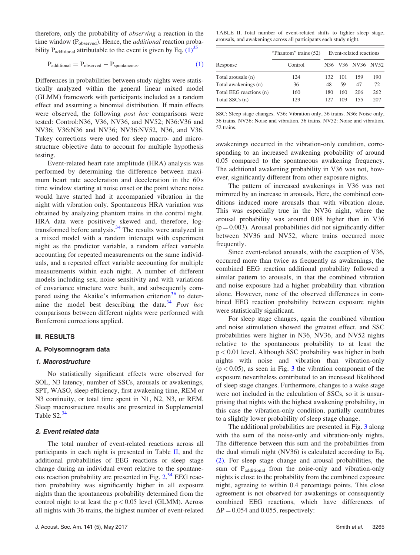therefore, only the probability of observing a reaction in the time window (P<sub>observed</sub>). Hence, the *additional* reaction probability P<sub>additional</sub> attributable to the event is given by Eq.  $(1)^{35}$ 

$$
P_{additional} = P_{observed} - P_{spontaneous}.
$$
\n(1)

Differences in probabilities between study nights were statistically analyzed within the general linear mixed model (GLMM) framework with participants included as a random effect and assuming a binomial distribution. If main effects were observed, the following *post hoc* comparisons were tested: Control:N36, V36, NV36, and NV52; N36:V36 and NV36; V36:N36 and NV36; NV36:NV52, N36, and V36. Tukey corrections were used for sleep macro- and microstructure objective data to account for multiple hypothesis testing.

Event-related heart rate amplitude (HRA) analysis was performed by determining the difference between maximum heart rate acceleration and deceleration in the 60 s time window starting at noise onset or the point where noise would have started had it accompanied vibration in the night with vibration only. Spontaneous HRA variation was obtained by analyzing phantom trains in the control night. HRA data were positively skewed and, therefore, logtransformed before analysis. $34$  The results were analyzed in a mixed model with a random intercept with experiment night as the predictor variable, a random effect variable accounting for repeated measurements on the same individuals, and a repeated effect variable accounting for multiple measurements within each night. A number of different models including sex, noise sensitivity and with variations of covariance structure were built, and subsequently com-pared using the Akaike's information criterion<sup>[36](#page-8-0)</sup> to deter-mine the model best describing the data.<sup>[34](#page-8-0)</sup> Post hoc comparisons between different nights were performed with Bonferroni corrections applied.

# III. RESULTS

#### A. Polysomnogram data

#### 1. Macrostructure

No statistically significant effects were observed for SOL, N3 latency, number of SSCs, arousals or awakenings, SPT, WASO, sleep efficiency, first awakening time, REM or N3 continuity, or total time spent in N1, N2, N3, or REM. Sleep macrostructure results are presented in Supplemental Table S2.<sup>[34](#page-8-0)</sup>

## 2. Event related data

The total number of event-related reactions across all participants in each night is presented in Table II, and the additional probabilities of EEG reactions or sleep stage change during an individual event relative to the spontane-ous reaction probability are presented in Fig. [2.](#page-5-0)<sup>[34](#page-8-0)</sup> EEG reaction probability was significantly higher in all exposure nights than the spontaneous probability determined from the control night to at least the  $p < 0.05$  level (GLMM). Across all nights with 36 trains, the highest number of event-related

TABLE II. Total number of event-related shifts to lighter sleep stage, arousals, and awakenings across all participants each study night.

|                         | "Phantom" trains (52) | Event-related reactions |     |                                                   |     |
|-------------------------|-----------------------|-------------------------|-----|---------------------------------------------------|-----|
| Response                | Control               | N36.                    |     | V <sub>36</sub> NV <sub>36</sub> NV <sub>52</sub> |     |
| Total arousals (n)      | 124                   | 132                     | 101 | 159                                               | 190 |
| Total awakenings (n)    | 36                    | 48                      | 59  | 47                                                | 72  |
| Total EEG reactions (n) | 160                   | 180                     | 160 | 206                                               | 262 |
| Total SSCs (n)          | 129                   | 127                     | 109 | 155                                               | 207 |

SSC: Sleep stage changes. V36: Vibration only, 36 trains. N36: Noise only, 36 trains. NV36: Noise and vibration, 36 trains. NV52: Noise and vibration, 52 trains.

awakenings occurred in the vibration-only condition, corresponding to an increased awakening probability of around 0.05 compared to the spontaneous awakening frequency. The additional awakening probability in V36 was not, however, significantly different from other exposure nights.

The pattern of increased awakenings in V36 was not mirrored by an increase in arousals. Here, the combined conditions induced more arousals than with vibration alone. This was especially true in the NV36 night, where the arousal probability was around 0.08 higher than in V36  $(p = 0.003)$ . Arousal probabilities did not significantly differ between NV36 and NV52, where trains occurred more frequently.

Since event-related arousals, with the exception of V36, occurred more than twice as frequently as awakenings, the combined EEG reaction additional probability followed a similar pattern to arousals, in that the combined vibration and noise exposure had a higher probability than vibration alone. However, none of the observed differences in combined EEG reaction probability between exposure nights were statistically significant.

For sleep stage changes, again the combined vibration and noise stimulation showed the greatest effect, and SSC probabilities were higher in N36, NV36, and NV52 nights relative to the spontaneous probability to at least the p < 0.01 level. Although SSC probability was higher in both nights with noise and vibration than vibration-only  $(p < 0.05)$ , as seen in Fig. [3](#page-5-0) the vibration component of the exposure nevertheless contributed to an increased likelihood of sleep stage changes. Furthermore, changes to a wake stage were not included in the calculation of SSCs, so it is unsurprising that nights with the highest awakening probability, in this case the vibration-only condition, partially contributes to a slightly lower probability of sleep stage change.

The additional probabilities are presented in Fig. [3](#page-5-0) along with the sum of the noise-only and vibration-only nights. The difference between this sum and the probabilities from the dual stimuli night (NV36) is calculated according to Eq. (2). For sleep stage change and arousal probabilities, the sum of P<sub>additional</sub> from the noise-only and vibration-only nights is close to the probability from the combined exposure night, agreeing to within 0.4 percentage points. This close agreement is not observed for awakenings or consequently combined EEG reactions, which have differences of  $\Delta P = 0.054$  and 0.055, respectively: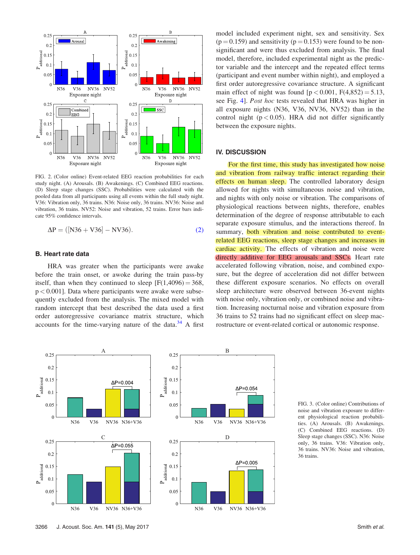<span id="page-5-0"></span>

FIG. 2. (Color online) Event-related EEG reaction probabilities for each study night. (A) Arousals. (B) Awakenings. (C) Combined EEG reactions. (D) Sleep stage changes (SSC). Probabilities were calculated with the pooled data from all participants using all events within the full study night. V36: Vibration only, 36 trains. N36: Noise only, 36 trains. NV36: Noise and vibration, 36 trains. NV52: Noise and vibration, 52 trains. Error bars indicate 95% confidence intervals.

$$
\Delta P = ([N36 + V36] - NV36). \tag{2}
$$

# B. Heart rate data

HRA was greater when the participants were awake before the train onset, or awoke during the train pass-by itself, than when they continued to sleep  $[F(1,4096) = 368,$  $p < 0.001$ ]. Data where participants were awake were subsequently excluded from the analysis. The mixed model with random intercept that best described the data used a first order autoregressive covariance matrix structure, which accounts for the time-varying nature of the data. $34$  A first model included experiment night, sex and sensitivity. Sex  $(p = 0.159)$  and sensitivity  $(p = 0.153)$  were found to be nonsignificant and were thus excluded from analysis. The final model, therefore, included experimental night as the predictor variable and the intercept and the repeated effect terms (participant and event number within night), and employed a first order autoregressive covariance structure. A significant main effect of night was found  $[p < 0.001, F(4,852) = 5.13,$ see Fig. [4](#page-6-0)]. Post hoc tests revealed that HRA was higher in all exposure nights (N36, V36, NV36, NV52) than in the control night ( $p < 0.05$ ). HRA did not differ significantly between the exposure nights.

# IV. DISCUSSION

For the first time, this study has investigated how noise and vibration from railway traffic interact regarding their effects on human sleep. The controlled laboratory design allowed for nights with simultaneous noise and vibration, and nights with only noise or vibration. The comparisons of physiological reactions between nights, therefore, enables determination of the degree of response attributable to each separate exposure stimulus, and the interactions thereof. In summary, both vibration and noise contributed to eventrelated EEG reactions, sleep stage changes and increases in cardiac activity. The effects of vibration and noise were directly additive for EEG arousals and SSCs. Heart rate accelerated following vibration, noise, and combined exposure, but the degree of acceleration did not differ between these different exposure scenarios. No effects on overall sleep architecture were observed between 36-event nights with noise only, vibration only, or combined noise and vibration. Increasing nocturnal noise and vibration exposure from 36 trains to 52 trains had no significant effect on sleep macrostructure or event-related cortical or autonomic response.



FIG. 3. (Color online) Contributions of noise and vibration exposure to different physiological reaction probabilities. (A) Arousals. (B) Awakenings. (C) Combined EEG reactions. (D) Sleep stage changes (SSC). N36: Noise only, 36 trains. V36: Vibration only, 36 trains. NV36: Noise and vibration, 36 trains.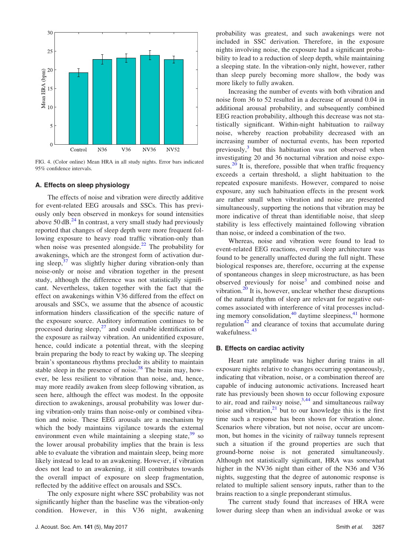<span id="page-6-0"></span>

FIG. 4. (Color online) Mean HRA in all study nights. Error bars indicated 95% confidence intervals.

## A. Effects on sleep physiology

The effects of noise and vibration were directly additive for event-related EEG arousals and SSCs. This has previously only been observed in monkeys for sound intensities above  $50 \text{ dB}$ .<sup>[24](#page-8-0)</sup> In contrast, a very small study had previously reported that changes of sleep depth were more frequent following exposure to heavy road traffic vibration-only than when noise was presented alongside. $^{22}$  $^{22}$  $^{22}$  The probability for awakenings, which are the strongest form of activation during sleep, $37$  was slightly higher during vibration-only than noise-only or noise and vibration together in the present study, although the difference was not statistically significant. Nevertheless, taken together with the fact that the effect on awakenings within V36 differed from the effect on arousals and SSCs, we assume that the absence of acoustic information hinders classification of the specific nature of the exposure source. Auditory information continues to be processed during sleep, $^{27}$  $^{27}$  $^{27}$  and could enable identification of the exposure as railway vibration. An unidentified exposure, hence, could indicate a potential threat, with the sleeping brain preparing the body to react by waking up. The sleeping brain's spontaneous rhythms preclude its ability to maintain stable sleep in the presence of noise. $38$  The brain may, however, be less resilient to vibration than noise, and, hence, may more readily awaken from sleep following vibration, as seen here, although the effect was modest. In the opposite direction to awakenings, arousal probability was lower during vibration-only trains than noise-only or combined vibration and noise. These EEG arousals are a mechanism by which the body maintains vigilance towards the external environment even while maintaining a sleeping state,  $39$  so the lower arousal probability implies that the brain is less able to evaluate the vibration and maintain sleep, being more likely instead to lead to an awakening. However, if vibration does not lead to an awakening, it still contributes towards the overall impact of exposure on sleep fragmentation, reflected by the additive effect on arousals and SSCs.

The only exposure night where SSC probability was not significantly higher than the baseline was the vibration-only condition. However, in this V36 night, awakening probability was greatest, and such awakenings were not included in SSC derivation. Therefore, in the exposure nights involving noise, the exposure had a significant probability to lead to a reduction of sleep depth, while maintaining a sleeping state. In the vibration-only night, however, rather than sleep purely becoming more shallow, the body was more likely to fully awaken.

Increasing the number of events with both vibration and noise from 36 to 52 resulted in a decrease of around 0.04 in additional arousal probability, and subsequently combined EEG reaction probability, although this decrease was not statistically significant. Within-night habituation to railway noise, whereby reaction probability decreased with an increasing number of nocturnal events, has been reported previously, $3$  but this habituation was not observed when investigating 20 and 36 nocturnal vibration and noise exposures. $^{20}$  It is, therefore, possible that when traffic frequency exceeds a certain threshold, a slight habituation to the repeated exposure manifests. However, compared to noise exposure, any such habituation effects in the present work are rather small when vibration and noise are presented simultaneously, supporting the notions that vibration may be more indicative of threat than identifiable noise, that sleep stability is less effectively maintained following vibration than noise, or indeed a combination of the two.

Whereas, noise and vibration were found to lead to event-related EEG reactions, overall sleep architecture was found to be generally unaffected during the full night. These biological responses are, therefore, occurring at the expense of spontaneous changes in sleep microstructure, as has been observed previously for noise<sup>[3](#page-7-0)</sup> and combined noise and vibration. $^{20}$  $^{20}$  $^{20}$  It is, however, unclear whether these disruptions of the natural rhythm of sleep are relevant for negative outcomes associated with interference of vital processes including memory consolidation,  $40$  daytime sleepiness,  $41$  hormone regulation<sup>[42](#page-8-0)</sup> and clearance of toxins that accumulate during wakefulness.<sup>[43](#page-8-0)</sup>

## B. Effects on cardiac activity

Heart rate amplitude was higher during trains in all exposure nights relative to changes occurring spontaneously, indicating that vibration, noise, or a combination thereof are capable of inducing autonomic activations. Increased heart rate has previously been shown to occur following exposure to air, road and railway noise, $3,44$  $3,44$  $3,44$  and simultaneous railway noise and vibration, $2<sup>1</sup>$  but to our knowledge this is the first time such a response has been shown for vibration alone. Scenarios where vibration, but not noise, occur are uncommon, but homes in the vicinity of railway tunnels represent such a situation if the ground properties are such that ground-borne noise is not generated simultaneously. Although not statistically significant, HRA was somewhat higher in the NV36 night than either of the N36 and V36 nights, suggesting that the degree of autonomic response is related to multiple salient sensory inputs, rather than to the brains reaction to a single preponderant stimulus.

The current study found that increases of HRA were lower during sleep than when an individual awoke or was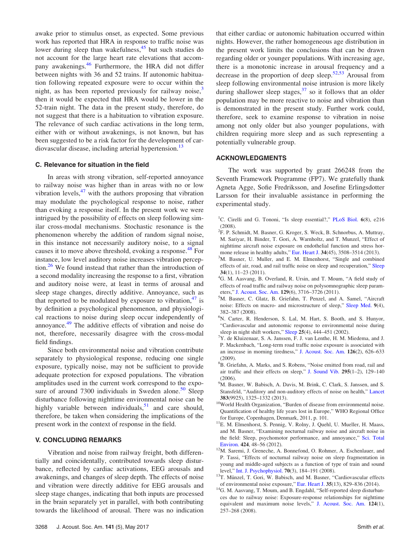<span id="page-7-0"></span>awake prior to stimulus onset, as expected. Some previous work has reported that HRA in response to traffic noise was lower during sleep than wakefulness,<sup>[45](#page-8-0)</sup> but such studies do not account for the large heart rate elevations that accom-pany awakenings.<sup>[46](#page-8-0)</sup> Furthermore, the HRA did not differ between nights with 36 and 52 trains. If autonomic habituation following repeated exposure were to occur within the night, as has been reported previously for railway noise, $3$ then it would be expected that HRA would be lower in the 52-train night. The data in the present study, therefore, do not suggest that there is a habituation to vibration exposure. The relevance of such cardiac activations in the long term, either with or without awakenings, is not known, but has been suggested to be a risk factor for the development of cardiovascular disease, including arterial hypertension.<sup>13</sup>

## C. Relevance for situation in the field

In areas with strong vibration, self-reported annoyance to railway noise was higher than in areas with no or low vibration levels, $47$  with the authors proposing that vibration may modulate the psychological response to noise, rather than evoking a response itself. In the present work we were intrigued by the possibility of effects on sleep following similar cross-modal mechanisms. Stochastic resonance is the phenomenon whereby the addition of random signal noise, in this instance not necessarily auditory noise, to a signal causes it to move above threshold, evoking a response.<sup>[48](#page-8-0)</sup> For instance, low level auditory noise increases vibration perception.[26](#page-8-0) We found instead that rather than the introduction of a second modality increasing the response to a first, vibration and auditory noise were, at least in terms of arousal and sleep stage changes, directly additive. Annoyance, such as that reported to be modulated by exposure to vibration,  $47$  is by definition a psychological phenomenon, and physiological reactions to noise during sleep occur independently of annoyance.<sup>[49](#page-8-0)</sup> The additive effects of vibration and noise do not, therefore, necessarily disagree with the cross-modal field findings.

Since both environmental noise and vibration contribute separately to physiological response, reducing one single exposure, typically noise, may not be sufficient to provide adequate protection for exposed populations. The vibration amplitudes used in the current work correspond to the exposure of around  $7300$  individuals in Sweden alone.<sup>[50](#page-8-0)</sup> Sleep disturbance following nighttime environmental noise can be highly variable between individuals, $51$  and care should, therefore, be taken when considering the implications of the present work in the context of response in the field.

## V. CONCLUDING REMARKS

Vibration and noise from railway freight, both differentially and coincidentally, contributed towards sleep disturbance, reflected by cardiac activations, EEG arousals and awakenings, and changes of sleep depth. The effects of noise and vibration were directly additive for EEG arousals and sleep stage changes, indicating that both inputs are processed in the brain separately yet in parallel, with both contributing towards the likelihood of arousal. There was no indication that either cardiac or autonomic habituation occurred within nights. However, the rather homogeneous age distribution in the present work limits the conclusions that can be drawn regarding older or younger populations. With increasing age, there is a monotonic increase in arousal frequency and a decrease in the proportion of deep sleep.<sup>[52,53](#page-8-0)</sup> Arousal from sleep following environmental noise intrusion is more likely during shallower sleep stages, $37$  so it follows that an older population may be more reactive to noise and vibration than is demonstrated in the present study. Further work could, therefore, seek to examine response to vibration in noise among not only older but also younger populations, with children requiring more sleep and as such representing a potentially vulnerable group.

# ACKNOWLEDGMENTS

The work was supported by grant 266248 from the Seventh Framework Programme (FP7). We gratefully thank Agneta Agge, Sofie Fredriksson, and Josefine Erlingsdotter Larsson for their invaluable assistance in performing the experimental study.

- <sup>1</sup>C. Cirelli and G. Tononi, "Is sleep essential?," [PLoS Biol.](http://dx.doi.org/10.1371/journal.pbio.0060216) 6(8), e216 (2008).
- <sup>2</sup>F. P. Schmidt, M. Basner, G. Kroger, S. Weck, B. Schnorbus, A. Muttray, M. Sariyar, H. Binder, T. Gori, A. Warnholtz, and T. Munzel, "Effect of nighttime aircraft noise exposure on endothelial function and stress hor-mone release in healthy adults," [Eur. Heart J.](http://dx.doi.org/10.1093/eurheartj/eht269) 34(45), 3508-3514 (2013).
- ${}^{3}$ M. Basner, U. Muller, and E. M. Elmenhorst, "Single and combined effects of air, road, and rail traffic noise on sleep and recuperation," [Sleep](http://dx.doi.org/10.1093/sleep/34.1.11)  $34(1)$ ,  $11-23(2011)$ .
- <sup>4</sup>G. M. Aasvang, B. Overland, R. Ursin, and T. Moum, "A field study of effects of road traffic and railway noise on polysomnographic sleep param-eters," [J. Acoust. Soc. Am.](http://dx.doi.org/10.1121/1.3583547) 129(6), 3716–3726 (2011).
- M. Basner, C. Glatz, B. Griefahn, T. Penzel, and A. Samel, "Aircraft noise: Effects on macro- and microstructure of sleep," [Sleep Med.](http://dx.doi.org/10.1016/j.sleep.2007.07.002) 9(4), 382–387 (2008).
- 6 N. Carter, R. Henderson, S. Lal, M. Hart, S. Booth, and S. Hunyor, "Cardiovascular and autonomic response to environmental noise during sleep in night shift workers," [Sleep](http://dx.doi.org/10.1093/sleep/25.4.444) 25(4), 444-451 (2002).
- $^{7}Y$ . de Kluizenaar, S. A. Janssen, F. J. van Lenthe, H. M. Miedema, and J. P. Mackenbach, "Long-term road traffic noise exposure is associated with an increase in morning tiredness," [J. Acoust. Soc. Am.](http://dx.doi.org/10.1121/1.3158834) 126(2), 626–633 (2009).
- 8 B. Griefahn, A. Marks, and S. Robens, "Noise emitted from road, rail and air traffic and their effects on sleep," [J. Sound Vib.](http://dx.doi.org/10.1016/j.jsv.2005.12.052) 295(1–2), 129–140 (2006).
- <sup>9</sup>M. Basner, W. Babisch, A. Davis, M. Brink, C. Clark, S. Janssen, and S. Stansfeld, "Auditory and non-auditory effects of noise on health," [Lancet](http://dx.doi.org/10.1016/S0140-6736(13)61613-X)
- 383(9925), 1325–1332 (2013).<br><sup>10</sup>World Health Organization, "Burden of disease from environmental noise. Quantification of healthy life years lost in Europe," WHO Regional Office
- for Europe, Copenhagen, Denmark, 2011, p. 101.<br><sup>11</sup>E. M. Elmenhorst, S. Pennig, V. Rolny, J. Quehl, U. Mueller, H. Maass, and M. Basner, "Examining nocturnal railway noise and aircraft noise in the field: Sleep, psychomotor performance, and annoyance," [Sci. Total](http://dx.doi.org/10.1016/j.scitotenv.2012.02.024) Environ. 424, 48–56 (2012).
- $^{12}$ M. Saremi, J. Greneche, A. Bonnefond, O. Rohmer, A. Eschenlauer, and P. Tassi, "Effects of nocturnal railway noise on sleep fragmentation in young and middle-aged subjects as a function of type of train and sound level," [Int. J. Psychophysiol.](http://dx.doi.org/10.1016/j.ijpsycho.2008.08.002) 70(3), 184–191 (2008). <sup>13</sup>T. Münzel, T. Gori, W. Babisch, and M. Basner, "Cardiovascular effects
- 
- of environmental noise exposure," [Eur. Heart J.](http://dx.doi.org/10.1093/eurheartj/ehu030) <sup>35</sup>(13), 829–836 (2014). 14G. M. Aasvang, T. Moum, and B. Engdahl, "Self-reported sleep disturbances due to railway noise: Exposure-response relationships for nighttime equivalent and maximum noise levels," [J. Acoust. Soc. Am.](http://dx.doi.org/10.1121/1.2932074) 124(1), 257–268 (2008).